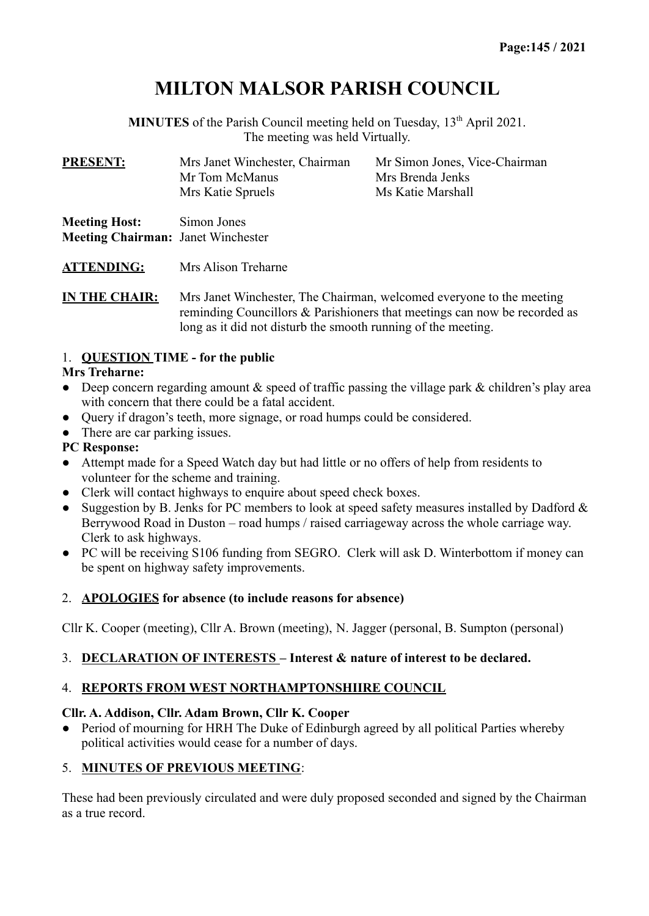# **MILTON MALSOR PARISH COUNCIL**

**MINUTES** of the Parish Council meeting held on Tuesday, 13<sup>th</sup> April 2021. The meeting was held Virtually.

| <b>PRESENT:</b>      | Mrs Janet Winchester, Chairman | Mr Simon Jones, Vice-Chairman |  |
|----------------------|--------------------------------|-------------------------------|--|
|                      | Mr Tom McManus                 | Mrs Brenda Jenks              |  |
|                      | Mrs Katie Spruels              | Ms Katie Marshall             |  |
| <b>Meeting Host:</b> | Simon Jones                    |                               |  |

**Meeting Chairman:** Janet Winchester

**ATTENDING:** Mrs Alison Treharne

**IN THE CHAIR:** Mrs Janet Winchester, The Chairman, welcomed everyone to the meeting reminding Councillors & Parishioners that meetings can now be recorded as long as it did not disturb the smooth running of the meeting.

### 1. **QUESTION TIME - for the public**

#### **Mrs Treharne:**

- Deep concern regarding amount  $\&$  speed of traffic passing the village park  $\&$  children's play area with concern that there could be a fatal accident.
- Query if dragon's teeth, more signage, or road humps could be considered.
- There are car parking issues.

#### **PC Response:**

- Attempt made for a Speed Watch day but had little or no offers of help from residents to volunteer for the scheme and training.
- Clerk will contact highways to enquire about speed check boxes.
- Suggestion by B. Jenks for PC members to look at speed safety measures installed by Dadford  $\&$ Berrywood Road in Duston – road humps / raised carriageway across the whole carriage way. Clerk to ask highways.
- PC will be receiving S106 funding from SEGRO. Clerk will ask D. Winterbottom if money can be spent on highway safety improvements.

#### 2. **APOLOGIES for absence (to include reasons for absence)**

Cllr K. Cooper (meeting), Cllr A. Brown (meeting), N. Jagger (personal, B. Sumpton (personal)

#### 3. **DECLARATION OF INTERESTS – Interest & nature of interest to be declared.**

#### 4. **REPORTS FROM WEST NORTHAMPTONSHIIRE COUNCIL**

#### **Cllr. A. Addison, Cllr. Adam Brown, Cllr K. Cooper**

• Period of mourning for HRH The Duke of Edinburgh agreed by all political Parties whereby political activities would cease for a number of days.

#### 5. **MINUTES OF PREVIOUS MEETING**:

These had been previously circulated and were duly proposed seconded and signed by the Chairman as a true record.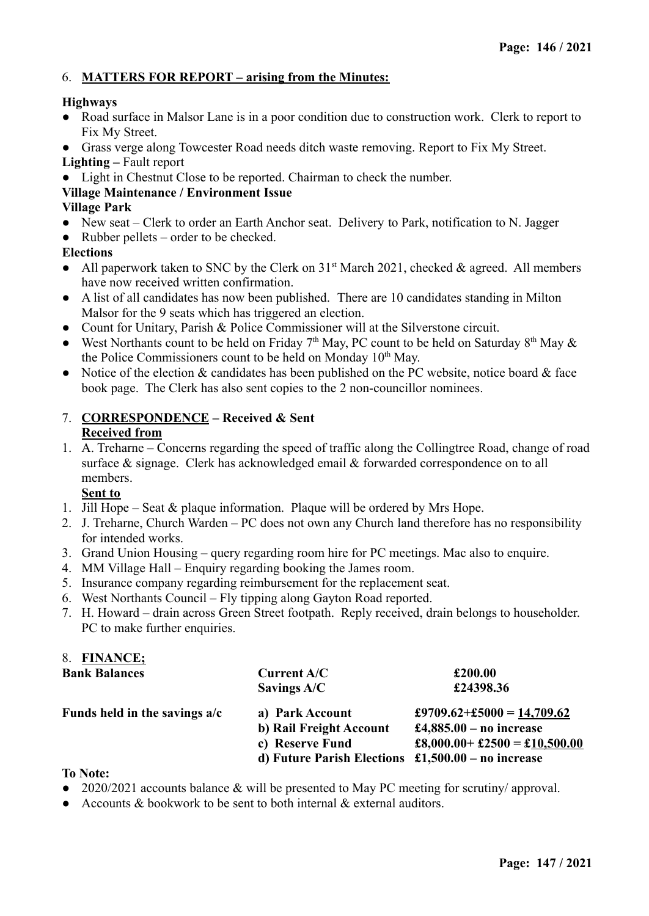#### 6. **MATTERS FOR REPORT – arising from the Minutes:**

#### **Highways**

- Road surface in Malsor Lane is in a poor condition due to construction work. Clerk to report to Fix My Street.
- Grass verge along Towcester Road needs ditch waste removing. Report to Fix My Street. **Lighting –** Fault report
- Light in Chestnut Close to be reported. Chairman to check the number.

#### **Village Maintenance / Environment Issue**

#### **Village Park**

- New seat Clerk to order an Earth Anchor seat. Delivery to Park, notification to N. Jagger
- Rubber pellets order to be checked.

#### **Elections**

- All paperwork taken to SNC by the Clerk on  $31<sup>st</sup>$  March 2021, checked & agreed. All members have now received written confirmation.
- A list of all candidates has now been published. There are 10 candidates standing in Milton Malsor for the 9 seats which has triggered an election.
- Count for Unitary, Parish & Police Commissioner will at the Silverstone circuit.
- West Northants count to be held on Friday 7<sup>th</sup> May, PC count to be held on Saturday 8<sup>th</sup> May  $\&$ the Police Commissioners count to be held on Monday 10<sup>th</sup> May.
- Notice of the election  $&$  candidates has been published on the PC website, notice board  $&$  face book page. The Clerk has also sent copies to the 2 non-councillor nominees.

#### 7. **CORRESPONDENCE – Received & Sent Received from**

1. A. Treharne – Concerns regarding the speed of traffic along the Collingtree Road, change of road surface & signage. Clerk has acknowledged email & forwarded correspondence on to all members.

#### **Sent to**

- 1. Jill Hope Seat  $\&$  plaque information. Plaque will be ordered by Mrs Hope.
- 2. J. Treharne, Church Warden PC does not own any Church land therefore has no responsibility for intended works.
- 3. Grand Union Housing query regarding room hire for PC meetings. Mac also to enquire.
- 4. MM Village Hall Enquiry regarding booking the James room.
- 5. Insurance company regarding reimbursement for the replacement seat.
- 6. West Northants Council Fly tipping along Gayton Road reported.
- 7. H. Howard drain across Green Street footpath. Reply received, drain belongs to householder. PC to make further enquiries.

| 8. FINANCE;                                                     |                                                      |                               |  |
|-----------------------------------------------------------------|------------------------------------------------------|-------------------------------|--|
| <b>Bank Balances</b>                                            | <b>Current A/C</b>                                   | £200.00                       |  |
|                                                                 | Savings $A/C$                                        | £24398.36                     |  |
| Funds held in the savings a/c                                   | a) Park Account                                      | £9709.62+£5000 = 14,709.62    |  |
|                                                                 | b) Rail Freight Account                              | £4,885.00 – no increase       |  |
|                                                                 | c) Reserve Fund                                      | £8,000.00+ £2500 = £10,500.00 |  |
|                                                                 | d) Future Parish Elections $£1,500.00 - no$ increase |                               |  |
| $\mathbf{T} \circ \mathbf{N} \circ \mathbf{A} \circ \mathbf{A}$ |                                                      |                               |  |

#### **To Note:**

- 2020/2021 accounts balance & will be presented to May PC meeting for scrutiny/ approval.
- Accounts & bookwork to be sent to both internal & external auditors.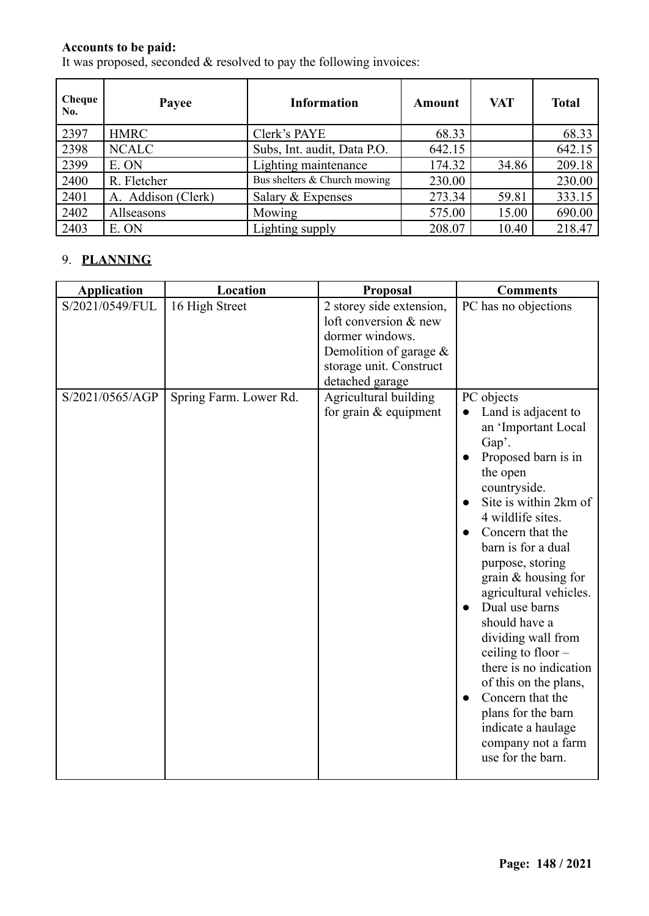#### **Accounts to be paid:**

It was proposed, seconded  $&$  resolved to pay the following invoices:

| Cheque<br>No. | Payee              | <b>Information</b>           | Amount | <b>VAT</b> | <b>Total</b> |
|---------------|--------------------|------------------------------|--------|------------|--------------|
| 2397          | <b>HMRC</b>        | Clerk's PAYE                 | 68.33  |            | 68.33        |
| 2398          | <b>NCALC</b>       | Subs, Int. audit, Data P.O.  | 642.15 |            | 642.15       |
| 2399          | E. ON              | Lighting maintenance         | 174.32 | 34.86      | 209.18       |
| 2400          | R. Fletcher        | Bus shelters & Church mowing | 230.00 |            | 230.00       |
| 2401          | A. Addison (Clerk) | Salary $&$ Expenses          | 273.34 | 59.81      | 333.15       |
| 2402          | Allseasons         | Mowing                       | 575.00 | 15.00      | 690.00       |
| 2403          | E. ON              | Lighting supply              | 208.07 | 10.40      | 218.47       |

## 9. **PLANNING**

| <b>Application</b>                 | Location                                 | Proposal                                                                                                                                                                 | <b>Comments</b>                                                                                                                                                                                                                                                                                                                                                                                                                                                                                                                 |
|------------------------------------|------------------------------------------|--------------------------------------------------------------------------------------------------------------------------------------------------------------------------|---------------------------------------------------------------------------------------------------------------------------------------------------------------------------------------------------------------------------------------------------------------------------------------------------------------------------------------------------------------------------------------------------------------------------------------------------------------------------------------------------------------------------------|
| S/2021/0549/FUL<br>S/2021/0565/AGP | 16 High Street<br>Spring Farm. Lower Rd. | 2 storey side extension,<br>loft conversion & new<br>dormer windows.<br>Demolition of garage $\&$<br>storage unit. Construct<br>detached garage<br>Agricultural building | PC has no objections<br>PC objects                                                                                                                                                                                                                                                                                                                                                                                                                                                                                              |
|                                    |                                          | for grain $&$ equipment                                                                                                                                                  | Land is adjacent to<br>an 'Important Local<br>Gap'.<br>Proposed barn is in<br>the open<br>countryside.<br>Site is within 2km of<br>4 wildlife sites.<br>Concern that the<br>barn is for a dual<br>purpose, storing<br>grain & housing for<br>agricultural vehicles.<br>Dual use barns<br>should have a<br>dividing wall from<br>ceiling to floor $-$<br>there is no indication<br>of this on the plans,<br>Concern that the<br>$\bullet$<br>plans for the barn<br>indicate a haulage<br>company not a farm<br>use for the barn. |